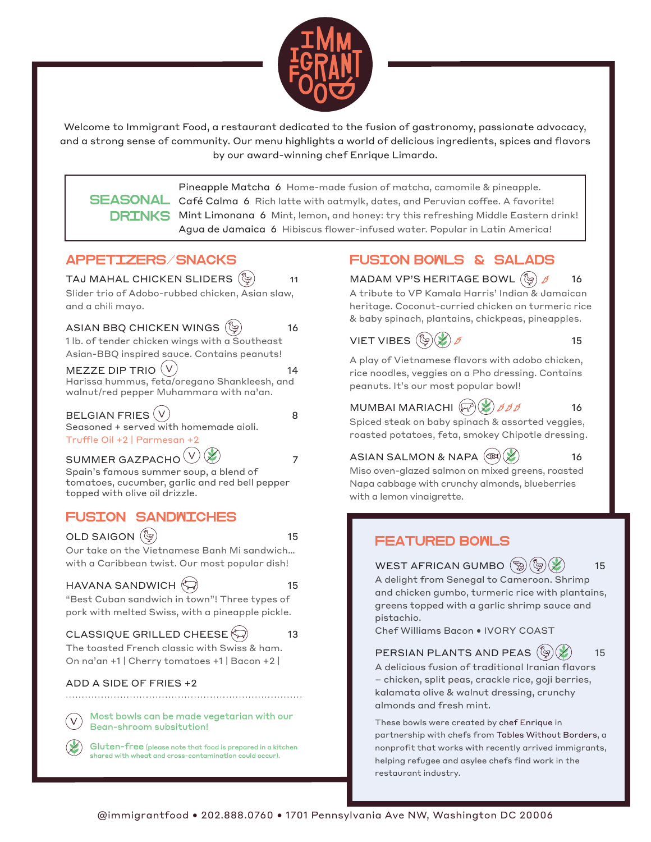

Welcome to Immigrant Food, a restaurant dedicated to the fusion of gastronomy, passionate advocacy, and a strong sense of community. Our menu highlights a world of delicious ingredients, spices and flavors by our award-winning chef Enrique Limardo.

Pineapple Matcha 6 Home-made fusion of matcha, camomile & pineapple.  ${\bf SEASONAL}$   ${\bf C}$ afé  ${\bf C}$ alma  ${\bf 6}$  Rich latte with oatmylk, dates, and Peruvian coffee. A favorite! DRINKS Mint Limonana 6 Mint, lemon, and honey: try this refreshing Middle Eastern drink! Agua de Jamaica 6 Hibiscus flower-infused water. Popular in Latin America!

#### APPETIZERS/SNACKS



# FUSION BOWLS & SALADS

MADAM VP'S HERITAGE BOWL  $\binom{5}{3}$   $\cancel{6}$  16 A tribute to VP Kamala Harris' Indian & Jamaican heritage. Coconut-curried chicken on turmeric rice & baby spinach, plantains, chickpeas, pineapples.

VIET VIBES  $(\mathbb{Q})(\mathbb{X})$   $\beta$  15

A play of Vietnamese flavors with adobo chicken, rice noodles, veggies on a Pho dressing. Contains peanuts. It's our most popular bowl!

MUMBAI MARIACHI  $(\vec{r}^3)(\cancel{\cancel{\times}})$   $\cancel{S}$   $\cancel{S}$   $\cancel{S}$  16

Spiced steak on baby spinach & assorted veggies, roasted potatoes, feta, smokey Chipotle dressing.

ASIAN SALMON & NAPA  $(\mathcal{B})$  ( $\mathcal{L}$ ) 16

Miso oven-glazed salmon on mixed greens, roasted Napa cabbage with crunchy almonds, blueberries with a lemon vinaigrette.

# FEATURED BOWLS

WEST AFRICAN GUMBO  $\binom{m}{2} \binom{m}{2} \binom{m}{2}$  15

A delight from Senegal to Cameroon. Shrimp and chicken gumbo, turmeric rice with plantains, greens topped with a garlic shrimp sauce and pistachio.

Chef Williams Bacon • IVORY COAST

#### PERSIAN PLANTS AND PEAS  $(\mathbb{S})(\mathbb{X})$  15

A delicious fusion of traditional Iranian flavors – chicken, split peas, crackle rice, goji berries, kalamata olive & walnut dressing, crunchy almonds and fresh mint.

These bowls were created by chef Enrique in partnership with chefs from Tables Without Borders, a nonprofit that works with recently arrived immigrants, helping refugee and asylee chefs find work in the restaurant industry.